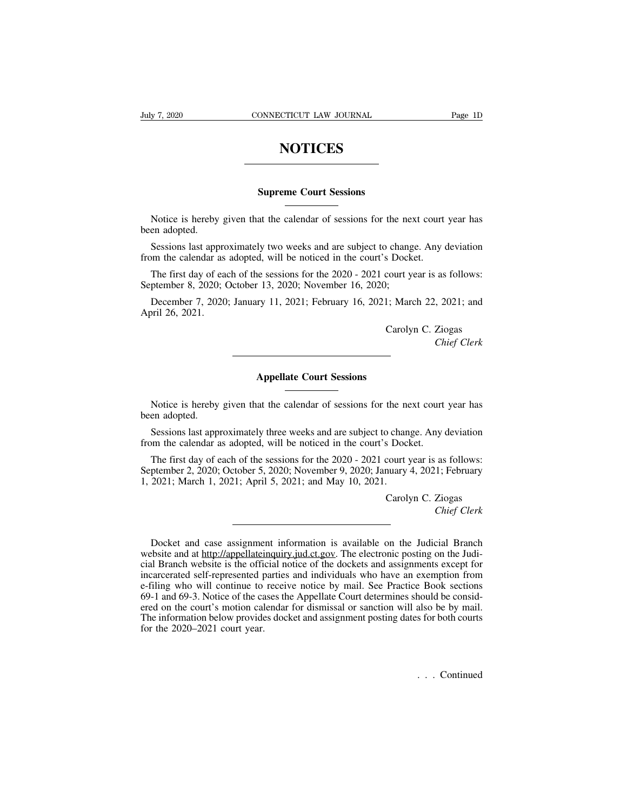## **NOTICES**

## **SUPREME SUPPER SUPPER SUPPER COURT SESSIONS**

NOTICES<br>
Supreme Court Sessions<br>
Notice is hereby given that the calendar of sessions for the next court year has<br>
en adopted.<br>
Sessions lest approximately two weeks and are subject to change. Any deviation Notice is hereby<br>been adopted.<br>Sessions last app<br>from the colordar a

Supreme Court Sessions<br>
Notice is hereby given that the calendar of sessions for the next court year has<br>
en adopted.<br>
Sessions last approximately two weeks and are subject to change. Any deviation<br>
on the calendar as adop **Supreme Court Sessions**<br>Notice is hereby given that the calendar of sessions for the next court<br>been adopted.<br>Sessions last approximately two weeks and are subject to change. Any of<br>from the calendar as adopted, will be n

Notice is hereby given that the calendar of sessions for the next court year has<br>en adopted.<br>Sessions last approximately two weeks and are subject to change. Any deviation<br>om the calendar as adopted, will be noticed in the Notice is hereby given that the calendar of sessions for the nex<br>been adopted.<br>Sessions last approximately two weeks and are subject to chang<br>from the calendar as adopted, will be noticed in the court's Docke<br>The first day en adopted.<br>
Sessions last approximately two weeks and are subject to change. Any deviation<br>
om the calendar as adopted, will be noticed in the court's Docket.<br>
The first day of each of the sessions for the 2020 - 2021 cou Sessions last approx<br>from the calendar as<br>The first day of ea<br>September 8, 2020; C<br>December 7, 2020<br>April 26, 2021. S Docket.<br>
court year is as follows:<br>
;<br>
1; March 22, 2021; and<br>
Carolyn C. Ziogas<br> *Chief Clerk* 

**Appellate Court Sessions**<br> **Appellate Court Sessions** 

as follows:<br> *Chief Clerk*<br> *Chief Clerk* 

Earty C. Elogas<br>Chief Clerk<br>Court Sessions<br>Notice is hereby given that the calendar of sessions for the next court year has<br>en adopted. Notice is hereby<br>been adopted.<br>Sessions last approximate the color of the color of the color of the color of the color of the color of the color of the color of the color of the color of the color of the color of the color Appellate Court Sessions<br>Notice is hereby given that the calendar of sessions for the next court year has<br>en adopted.<br>Sessions last approximately three weeks and are subject to change. Any deviation<br>om the calendar as adop **From the calendar of sessions**<br>Notice is hereby given that the calendar of sessions for the next court<br>been adopted.<br>Sessions last approximately three weeks and are subject to change. Any of<br>from the calendar as adopted,

Notice is hereby given that the calendar of sessions for the next court year has<br>en adopted.<br>Sessions last approximately three weeks and are subject to change. Any deviation<br>om the calendar as adopted, will be noticed in t Notice is hereby given that the calendar of sessions for the next court year has<br>been adopted.<br>Sessions last approximately three weeks and are subject to change. Any deviation<br>from the calendar as adopted, will be noticed 1, 2021; March 1, 2021; April 5, 2021; and May 10, 2021.<br>Carolynum 1, 2021; March 1, 2021; April 5, 2021; and May 10, 2021.<br>Carolynum 1, 2021; March 1, 2021; April 5, 2021; and May 10, 2021.<br>Carolynum 1, 2021; March 1, 202 So change. Any deviation<br>
So Docket.<br>
Court year is as follows:<br>
nuary 4, 2021; February<br>
Carolyn C. Ziogas<br>
Chief Clerk *Chief Clerk*<br> *Chief Clerk*<br> *Chief Clerk* 

ptember 2, 2020; October 5, 2020; November 9, 2020; January 4, 2021; February<br>2021; March 1, 2021; April 5, 2021; and May 10, 2021.<br>Carolyn C. Ziogas<br>*Chief Clerk*<br>Docket and case assignment information is available on the The 1, 2021; March 1, 2021; April 5, 2021; and May 10, 2021.<br>Carolyn C. Ziogas<br>Chief Clerk<br>Docket and case assignment information is available on the Judicial Branch<br>website and at http://appellateinquiry.jud.ct.gov. The e Carolyn C. Ziogas<br>Chief Clerk<br>Chief Clerk<br>Chief Clerk<br>Chief Clerk<br>website and at http://appellateinquiry.jud.ct.gov. The electronic posting on the Judi-<br>cial Branch website is the official notice of the dockets and assignm Chief Clerk<br>Chief Clerk<br>Chief Clerk<br>website and at http://appellateinquiry.jud.ct.gov. The electronic posting on the Judi-<br>cial Branch website is the official notice of the dockets and assignments except for<br>incarcerated s ET US CONSECT THE USER CONSECT THE USER CONSERVANCE And case assignment information is available on the Judicial Branch website and at http://appellateinquiry.jud.ct.gov. The electronic posting on the Judicial Branch websi Docket and case assignment information is available on the Judicial Branch<br>website and at http://appellateinquiry.jud.ct.gov. The electronic posting on the Judi-<br>cial Branch website is the official notice of the dockets an Docket and case assignment information is available on the Judicial Branch<br>website and at <u>http://appellateinquiry.jud.ct.gov</u>. The electronic posting on the Judi-<br>cial Branch website is the official notice of the dockets bocket and case assignment information is avariable on the studieral Branch<br>website and at <u>http://appellateinquiry.jud.ct.gov</u>. The electronic posting on the Judi-<br>cial Branch website is the official notice of the dockets website and at <u>imparappenate inquire</u><br>cial Branch website is the official ne<br>incarcerated self-represented parties<br>e-filing who will continue to recei<br>69-1 and 69-3. Notice of the cases the<br>red on the court's motion calen .<br>also be by mail.<br>of for both courts<br> $\therefore$  . Continued